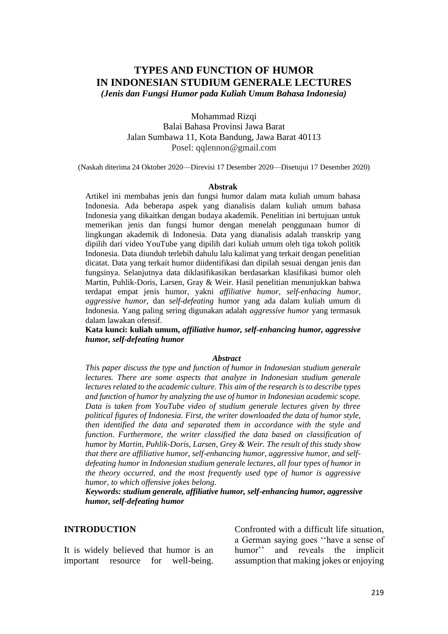## **TYPES AND FUNCTION OF HUMOR IN INDONESIAN STUDIUM GENERALE LECTURES** *(Jenis dan Fungsi Humor pada Kuliah Umum Bahasa Indonesia)*

Mohammad Rizqi

Balai Bahasa Provinsi Jawa Barat Jalan Sumbawa 11, Kota Bandung, Jawa Barat 40113 Posel: qqlennon@gmail.com

(Naskah diterima 24 Oktober 2020—Direvisi 17 Desember 2020—Disetujui 17 Desember 2020)

#### **Abstrak**

Artikel ini membahas jenis dan fungsi humor dalam mata kuliah umum bahasa Indonesia. Ada beberapa aspek yang dianalisis dalam kuliah umum bahasa Indonesia yang dikaitkan dengan budaya akademik. Penelitian ini bertujuan untuk memerikan jenis dan fungsi humor dengan menelah penggunaan humor di lingkungan akademik di Indonesia. Data yang dianalisis adalah transkrip yang dipilih dari video YouTube yang dipilih dari kuliah umum oleh tiga tokoh politik Indonesia. Data diunduh terlebih dahulu lalu kalimat yang terkait dengan penelitian dicatat. Data yang terkait humor diidentifikasi dan dipilah sesuai dengan jenis dan fungsinya. Selanjutnya data diklasifikasikan berdasarkan klasifikasi humor oleh Martin, Puhlik-Doris, Larsen, Gray & Weir. Hasil penelitian menunjukkan bahwa terdapat empat jenis humor, yakni *affiliative humor, self-enhacing humor, aggressive humor*, dan *self-defeating* humor yang ada dalam kuliah umum di Indonesia. Yang paling sering digunakan adalah *aggressive humor* yang termasuk dalam lawakan ofensif.

**Kata kunci: kuliah umum,** *affiliative humor, self-enhancing humor, aggressive humor, self-defeating humor*

#### *Abstract*

*This paper discuss the type and function of humor in Indonesian studium generale lectures. There are some aspects that analyze in Indonesian studium generale lectures related to the academic culture. This aim of the research is to describe types and function of humor by analyzing the use of humor in Indonesian academic scope. Data is taken from YouTube video of studium generale lectures given by three political figures of Indonesia. First, the writer downloaded the data of humor style, then identified the data and separated them in accordance with the style and function. Furthermore, the writer classified the data based on classification of humor by Martin, Puhlik-Doris, Larsen, Grey & Weir. The result of this study show that there are affiliative humor, self-enhancing humor, aggressive humor, and selfdefeating humor in Indonesian studium generale lectures, all four types of humor in the theory occurred, and the most frequently used type of humor is aggressive humor, to which offensive jokes belong.* 

*Keywords: studium generale, affiliative humor, self-enhancing humor, aggressive humor, self-defeating humor*

#### **INTRODUCTION**

It is widely believed that humor is an important resource for well-being. Confronted with a difficult life situation, a German saying goes ''have a sense of humor'' and reveals the implicit assumption that making jokes or enjoying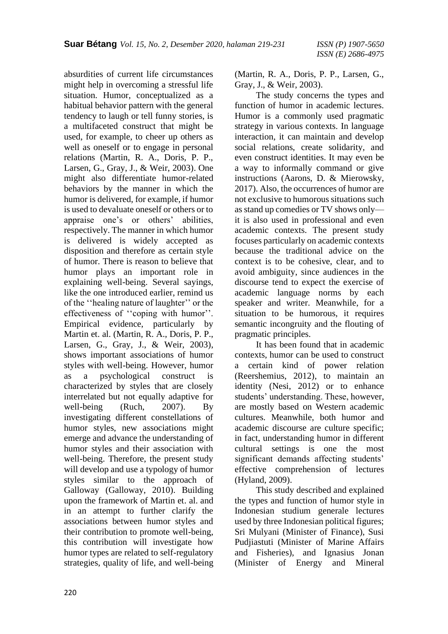absurdities of current life circumstances might help in overcoming a stressful life situation. Humor, conceptualized as a habitual behavior pattern with the general tendency to laugh or tell funny stories, is a multifaceted construct that might be used, for example, to cheer up others as well as oneself or to engage in personal relations (Martin, R. A., Doris, P. P., Larsen, G., Gray, J., & Weir, 2003). One might also differentiate humor-related behaviors by the manner in which the humor is delivered, for example, if humor is used to devaluate oneself or others or to appraise one's or others' abilities, respectively. The manner in which humor is delivered is widely accepted as disposition and therefore as certain style of humor. There is reason to believe that humor plays an important role in explaining well-being. Several sayings, like the one introduced earlier, remind us of the ''healing nature of laughter'' or the effectiveness of ''coping with humor''. Empirical evidence, particularly by Martin et. al. (Martin, R. A., Doris, P. P., Larsen, G., Gray, J., & Weir, 2003), shows important associations of humor styles with well-being. However, humor as a psychological construct is characterized by styles that are closely interrelated but not equally adaptive for well-being (Ruch, 2007). By investigating different constellations of humor styles, new associations might emerge and advance the understanding of humor styles and their association with well-being. Therefore, the present study will develop and use a typology of humor styles similar to the approach of Galloway (Galloway, 2010). Building upon the framework of Martin et. al. and in an attempt to further clarify the associations between humor styles and their contribution to promote well-being, this contribution will investigate how humor types are related to self-regulatory strategies, quality of life, and well-being (Martin, R. A., Doris, P. P., Larsen, G., Gray, J., & Weir, 2003).

The study concerns the types and function of humor in academic lectures. Humor is a commonly used pragmatic strategy in various contexts. In language interaction, it can maintain and develop social relations, create solidarity, and even construct identities. It may even be a way to informally command or give instructions (Aarons, D. & Mierowsky, 2017). Also, the occurrences of humor are not exclusive to humorous situations such as stand up comedies or TV shows only it is also used in professional and even academic contexts. The present study focuses particularly on academic contexts because the traditional advice on the context is to be cohesive, clear, and to avoid ambiguity, since audiences in the discourse tend to expect the exercise of academic language norms by each speaker and writer. Meanwhile, for a situation to be humorous, it requires semantic incongruity and the flouting of pragmatic principles.

It has been found that in academic contexts, humor can be used to construct a certain kind of power relation (Reershemius, 2012), to maintain an identity (Nesi, 2012) or to enhance students' understanding. These, however, are mostly based on Western academic cultures. Meanwhile, both humor and academic discourse are culture specific; in fact, understanding humor in different cultural settings is one the most significant demands affecting students' effective comprehension of lectures (Hyland, 2009).

This study described and explained the types and function of humor style in Indonesian studium generale lectures used by three Indonesian political figures; Sri Mulyani (Minister of Finance), Susi Pudjiastuti (Minister of Marine Affairs and Fisheries), and Ignasius Jonan (Minister of Energy and Mineral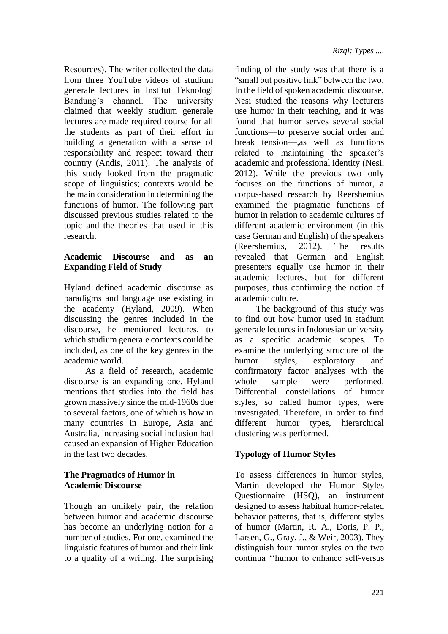Resources). The writer collected the data from three YouTube videos of studium generale lectures in Institut Teknologi Bandung's channel. The university claimed that weekly studium generale lectures are made required course for all the students as part of their effort in building a generation with a sense of responsibility and respect toward their country (Andis, 2011). The analysis of this study looked from the pragmatic scope of linguistics; contexts would be the main consideration in determining the functions of humor. The following part discussed previous studies related to the topic and the theories that used in this research.

## **Academic Discourse and as an Expanding Field of Study**

Hyland defined academic discourse as paradigms and language use existing in the academy (Hyland, 2009). When discussing the genres included in the discourse, he mentioned lectures, to which studium generale contexts could be included, as one of the key genres in the academic world.

As a field of research, academic discourse is an expanding one. Hyland mentions that studies into the field has grown massively since the mid-1960s due to several factors, one of which is how in many countries in Europe, Asia and Australia, increasing social inclusion had caused an expansion of Higher Education in the last two decades.

### **The Pragmatics of Humor in Academic Discourse**

Though an unlikely pair, the relation between humor and academic discourse has become an underlying notion for a number of studies. For one, examined the linguistic features of humor and their link to a quality of a writing. The surprising finding of the study was that there is a "small but positive link" between the two. In the field of spoken academic discourse, Nesi studied the reasons why lecturers use humor in their teaching, and it was found that humor serves several social functions—to preserve social order and break tension—,as well as functions related to maintaining the speaker's academic and professional identity (Nesi, 2012). While the previous two only focuses on the functions of humor, a corpus-based research by Reershemius examined the pragmatic functions of humor in relation to academic cultures of different academic environment (in this case German and English) of the speakers (Reershemius, 2012). The results revealed that German and English presenters equally use humor in their academic lectures, but for different purposes, thus confirming the notion of academic culture.

The background of this study was to find out how humor used in stadium generale lectures in Indonesian university as a specific academic scopes. To examine the underlying structure of the humor styles, exploratory and confirmatory factor analyses with the whole sample were performed. Differential constellations of humor styles, so called humor types, were investigated. Therefore, in order to find different humor types, hierarchical clustering was performed.

## **Typology of Humor Styles**

To assess differences in humor styles, Martin developed the Humor Styles Questionnaire (HSQ), an instrument designed to assess habitual humor-related behavior patterns, that is, different styles of humor (Martin, R. A., Doris, P. P., Larsen, G., Gray, J., & Weir, 2003). They distinguish four humor styles on the two continua ''humor to enhance self-versus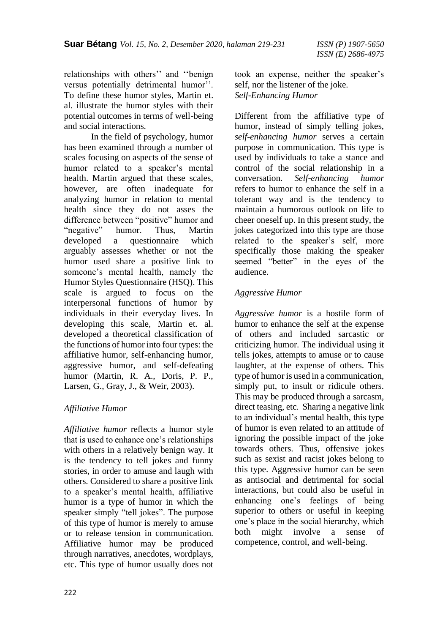relationships with others'' and ''benign versus potentially detrimental humor''. To define these humor styles, Martin et. al. illustrate the humor styles with their potential outcomes in terms of well-being and social interactions.

In the field of psychology, humor has been examined through a number of scales focusing on aspects of the sense of humor related to a speaker's mental health. Martin argued that these scales, however, are often inadequate for analyzing humor in relation to mental health since they do not asses the difference between "positive" humor and "negative" humor. Thus, Martin developed a questionnaire which arguably assesses whether or not the humor used share a positive link to someone's mental health, namely the Humor Styles Questionnaire (HSQ). This scale is argued to focus on the interpersonal functions of humor by individuals in their everyday lives. In developing this scale, Martin et. al. developed a theoretical classification of the functions of humor into four types: the affiliative humor, self-enhancing humor, aggressive humor, and self-defeating humor (Martin, R. A., Doris, P. P., Larsen, G., Gray, J., & Weir, 2003).

## *Affiliative Humor*

*Affiliative humor* reflects a humor style that is used to enhance one's relationships with others in a relatively benign way. It is the tendency to tell jokes and funny stories, in order to amuse and laugh with others. Considered to share a positive link to a speaker's mental health, affiliative humor is a type of humor in which the speaker simply "tell jokes". The purpose of this type of humor is merely to amuse or to release tension in communication. Affiliative humor may be produced through narratives, anecdotes, wordplays, etc. This type of humor usually does not took an expense, neither the speaker's self, nor the listener of the joke. *Self-Enhancing Humor*

Different from the affiliative type of humor, instead of simply telling jokes, *self-enhancing humor* serves a certain purpose in communication. This type is used by individuals to take a stance and control of the social relationship in a conversation. *Self-enhancing humor* refers to humor to enhance the self in a tolerant way and is the tendency to maintain a humorous outlook on life to cheer oneself up. In this present study, the jokes categorized into this type are those related to the speaker's self, more specifically those making the speaker seemed "better" in the eyes of the audience.

### *Aggressive Humor*

*Aggressive humor* is a hostile form of humor to enhance the self at the expense of others and included sarcastic or criticizing humor. The individual using it tells jokes, attempts to amuse or to cause laughter, at the expense of others. This type of humor is used in a communication, simply put, to insult or ridicule others. This may be produced through a sarcasm, direct teasing, etc. Sharing a negative link to an individual's mental health, this type of humor is even related to an attitude of ignoring the possible impact of the joke towards others. Thus, offensive jokes such as sexist and racist jokes belong to this type. Aggressive humor can be seen as antisocial and detrimental for social interactions, but could also be useful in enhancing one's feelings of being superior to others or useful in keeping one's place in the social hierarchy, which both might involve a sense of competence, control, and well-being.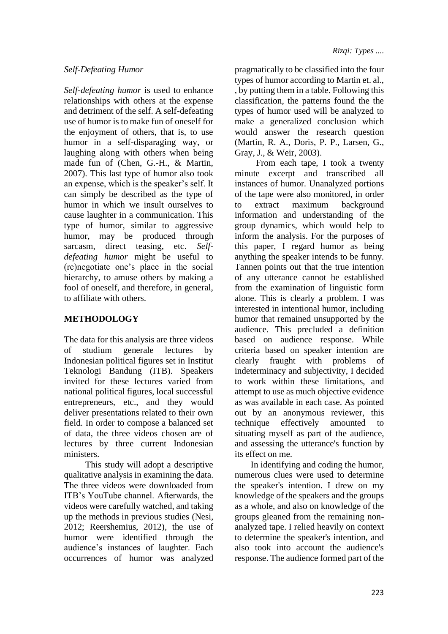### *Self-Defeating Humor*

*Self-defeating humor* is used to enhance relationships with others at the expense and detriment of the self. A self-defeating use of humor is to make fun of oneself for the enjoyment of others, that is, to use humor in a self-disparaging way, or laughing along with others when being made fun of (Chen, G.-H., & Martin, 2007). This last type of humor also took an expense, which is the speaker's self. It can simply be described as the type of humor in which we insult ourselves to cause laughter in a communication. This type of humor, similar to aggressive humor, may be produced through sarcasm, direct teasing, etc. *Selfdefeating humor* might be useful to (re)negotiate one's place in the social hierarchy, to amuse others by making a fool of oneself, and therefore, in general, to affiliate with others.

# **METHODOLOGY**

The data for this analysis are three videos of studium generale lectures by Indonesian political figures set in Institut Teknologi Bandung (ITB). Speakers invited for these lectures varied from national political figures, local successful entrepreneurs, etc., and they would deliver presentations related to their own field. In order to compose a balanced set of data, the three videos chosen are of lectures by three current Indonesian ministers.

This study will adopt a descriptive qualitative analysis in examining the data. The three videos were downloaded from ITB's YouTube channel. Afterwards, the videos were carefully watched, and taking up the methods in previous studies (Nesi, 2012; Reershemius, 2012), the use of humor were identified through the audience's instances of laughter. Each occurrences of humor was analyzed pragmatically to be classified into the four types of humor according to Martin et. al., , by putting them in a table. Following this classification, the patterns found the the types of humor used will be analyzed to make a generalized conclusion which would answer the research question (Martin, R. A., Doris, P. P., Larsen, G., Gray, J., & Weir, 2003).

From each tape, I took a twenty minute excerpt and transcribed all instances of humor. Unanalyzed portions of the tape were also monitored, in order to extract maximum background information and understanding of the group dynamics, which would help to inform the analysis. For the purposes of this paper, I regard humor as being anything the speaker intends to be funny. Tannen points out that the true intention of any utterance cannot be established from the examination of linguistic form alone. This is clearly a problem. I was interested in intentional humor, including humor that remained unsupported by the audience. This precluded a definition based on audience response. While criteria based on speaker intention are clearly fraught with problems of indeterminacy and subjectivity, I decided to work within these limitations, and attempt to use as much objective evidence as was available in each case. As pointed out by an anonymous reviewer, this technique effectively amounted to situating myself as part of the audience, and assessing the utterance's function by its effect on me.

In identifying and coding the humor, numerous clues were used to determine the speaker's intention. I drew on my knowledge of the speakers and the groups as a whole, and also on knowledge of the groups gleaned from the remaining nonanalyzed tape. I relied heavily on context to determine the speaker's intention, and also took into account the audience's response. The audience formed part of the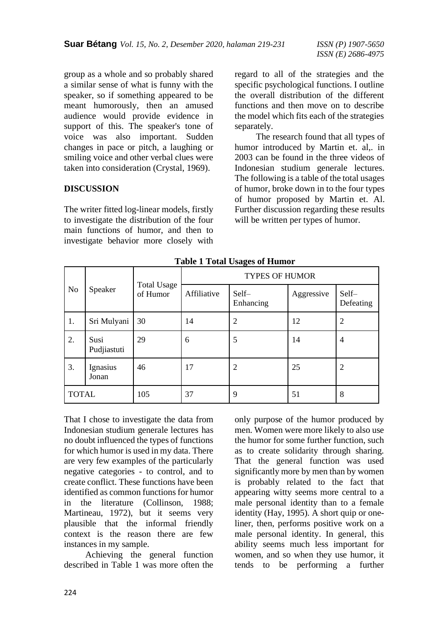group as a whole and so probably shared a similar sense of what is funny with the speaker, so if something appeared to be meant humorously, then an amused audience would provide evidence in support of this. The speaker's tone of voice was also important. Sudden changes in pace or pitch, a laughing or smiling voice and other verbal clues were taken into consideration (Crystal, 1969).

### **DISCUSSION**

The writer fitted log-linear models, firstly to investigate the distribution of the four main functions of humor, and then to investigate behavior more closely with regard to all of the strategies and the specific psychological functions. I outline the overall distribution of the different functions and then move on to describe the model which fits each of the strategies separately.

The research found that all types of humor introduced by Martin et. al,. in 2003 can be found in the three videos of Indonesian studium generale lectures. The following is a table of the total usages of humor, broke down in to the four types of humor proposed by Martin et. Al. Further discussion regarding these results will be written per types of humor.

| N <sub>o</sub> | Speaker             | <b>Total Usage</b><br>of Humor | o<br><b>TYPES OF HUMOR</b> |                    |            |                    |
|----------------|---------------------|--------------------------------|----------------------------|--------------------|------------|--------------------|
|                |                     |                                | Affiliative                | Self-<br>Enhancing | Aggressive | Self-<br>Defeating |
| 1.             | Sri Mulyani         | 30                             | 14                         | $\overline{2}$     | 12         | 2                  |
| 2.             | Susi<br>Pudjiastuti | 29                             | 6                          | 5                  | 14         | $\overline{4}$     |
| 3.             | Ignasius<br>Jonan   | 46                             | 17                         | $\overline{2}$     | 25         | $\overline{2}$     |
| <b>TOTAL</b>   |                     | 105                            | 37                         | 9                  | 51         | 8                  |

**Table 1 Total Usages of Humor**

That I chose to investigate the data from Indonesian studium generale lectures has no doubt influenced the types of functions for which humor is used in my data. There are very few examples of the particularly negative categories - to control, and to create conflict. These functions have been identified as common functions for humor in the literature (Collinson, 1988; Martineau, 1972), but it seems very plausible that the informal friendly context is the reason there are few instances in my sample.

Achieving the general function described in Table 1 was more often the only purpose of the humor produced by men. Women were more likely to also use the humor for some further function, such as to create solidarity through sharing. That the general function was used significantly more by men than by women is probably related to the fact that appearing witty seems more central to a male personal identity than to a female identity (Hay, 1995). A short quip or oneliner, then, performs positive work on a male personal identity. In general, this ability seems much less important for women, and so when they use humor, it tends to be performing a further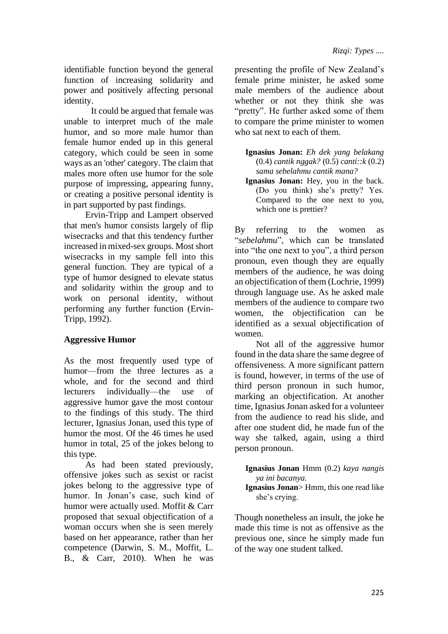identifiable function beyond the general function of increasing solidarity and power and positively affecting personal identity.

It could be argued that female was unable to interpret much of the male humor, and so more male humor than female humor ended up in this general category, which could be seen in some ways as an 'other' category. The claim that males more often use humor for the sole purpose of impressing, appearing funny, or creating a positive personal identity is in part supported by past findings.

Ervin-Tripp and Lampert observed that men's humor consists largely of flip wisecracks and that this tendency further increased in mixed-sex groups. Most short wisecracks in my sample fell into this general function. They are typical of a type of humor designed to elevate status and solidarity within the group and to work on personal identity, without performing any further function (Ervin-Tripp, 1992).

## **Aggressive Humor**

As the most frequently used type of humor—from the three lectures as a whole, and for the second and third lecturers individually—the use of aggressive humor gave the most contour to the findings of this study. The third lecturer, Ignasius Jonan, used this type of humor the most. Of the 46 times he used humor in total, 25 of the jokes belong to this type.

As had been stated previously, offensive jokes such as sexist or racist jokes belong to the aggressive type of humor. In Jonan's case, such kind of humor were actually used. Moffit & Carr proposed that sexual objectification of a woman occurs when she is seen merely based on her appearance, rather than her competence (Darwin, S. M., Moffit, L. B., & Carr, 2010). When he was

presenting the profile of New Zealand's female prime minister, he asked some male members of the audience about whether or not they think she was "pretty". He further asked some of them to compare the prime minister to women who sat next to each of them.

**Ignasius Jonan:** *Eh dek yang belakang*  (0.4) *cantik nggak?* (0.5) *canti::k* (0.2) *sama sebelahmu cantik mana?* 

**Ignasius Jonan:** Hey, you in the back. (Do you think) she's pretty? Yes. Compared to the one next to you, which one is prettier?

By referring to the women as "*sebelahmu*", which can be translated into "the one next to you", a third person pronoun, even though they are equally members of the audience, he was doing an objectification of them (Lochrie, 1999) through language use. As he asked male members of the audience to compare two women, the objectification can be identified as a sexual objectification of women.

Not all of the aggressive humor found in the data share the same degree of offensiveness. A more significant pattern is found, however, in terms of the use of third person pronoun in such humor, marking an objectification. At another time, Ignasius Jonan asked for a volunteer from the audience to read his slide, and after one student did, he made fun of the way she talked, again, using a third person pronoun.

**Ignasius Jonan** Hmm (0.2) *kaya nangis ya ini bacanya.*

**Ignasius Jonan**> Hmm, this one read like she's crying.

Though nonetheless an insult, the joke he made this time is not as offensive as the previous one, since he simply made fun of the way one student talked.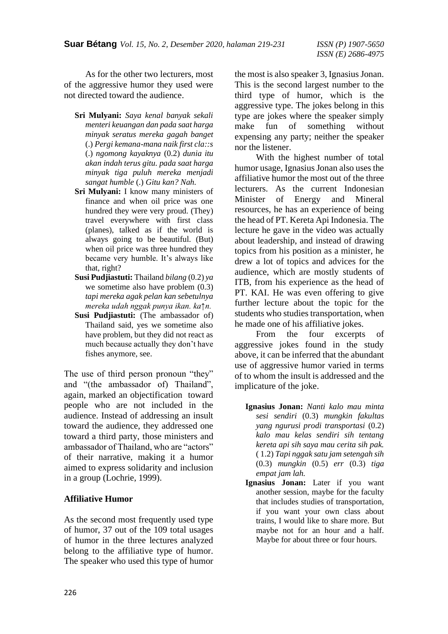As for the other two lecturers, most of the aggressive humor they used were not directed toward the audience.

- **Sri Mulyani:** *Saya kenal banyak sekali menteri keuangan dan pada saat harga minyak seratus mereka gagah banget*  (.) *Pergi kemana-mana naik first cla::s*  (.) *ngomong kayaknya* (0.2) *dunia itu akan indah terus gitu. pada saat harga minyak tiga puluh mereka menjadi sangat humble* (.) *Gitu kan? Nah.*
- **Sri Mulyani:** I know many ministers of finance and when oil price was one hundred they were very proud. (They) travel everywhere with first class (planes), talked as if the world is always going to be beautiful. (But) when oil price was three hundred they became very humble. It's always like that, right?
- **Susi Pudjiastuti:** Thailand *bilang* (0.2) *ya*  we sometime also have problem  $(0.3)$ *tapi mereka agak pelan kan sebetulnya mereka udah nggak punya ikan. ka↑n.*
- **Susi Pudjiastuti:** (The ambassador of) Thailand said, yes we sometime also have problem, but they did not react as much because actually they don't have fishes anymore, see.

The use of third person pronoun "they" and "(the ambassador of) Thailand", again, marked an objectification toward people who are not included in the audience. Instead of addressing an insult toward the audience, they addressed one toward a third party, those ministers and ambassador of Thailand, who are "actors" of their narrative, making it a humor aimed to express solidarity and inclusion in a group (Lochrie, 1999).

### **Affiliative Humor**

As the second most frequently used type of humor, 37 out of the 109 total usages of humor in the three lectures analyzed belong to the affiliative type of humor. The speaker who used this type of humor the most is also speaker 3, Ignasius Jonan. This is the second largest number to the third type of humor, which is the aggressive type. The jokes belong in this type are jokes where the speaker simply make fun of something without expensing any party; neither the speaker nor the listener.

With the highest number of total humor usage, Ignasius Jonan also uses the affiliative humor the most out of the three lecturers. As the current Indonesian Minister of Energy and Mineral resources, he has an experience of being the head of PT. Kereta Api Indonesia. The lecture he gave in the video was actually about leadership, and instead of drawing topics from his position as a minister, he drew a lot of topics and advices for the audience, which are mostly students of ITB, from his experience as the head of PT. KAI. He was even offering to give further lecture about the topic for the students who studies transportation, when he made one of his affiliative jokes.

From the four excerpts of aggressive jokes found in the study above, it can be inferred that the abundant use of aggressive humor varied in terms of to whom the insult is addressed and the implicature of the joke.

- **Ignasius Jonan:** *Nanti kalo mau minta sesi sendiri* (0.3) *mungkin fakultas yang ngurusi prodi transportasi* (0.2) *kalo mau kelas sendiri sih tentang kereta api sih saya mau cerita sih pak.*  ( 1.2) *Tapi nggak satu jam setengah sih*  (0.3) *mungkin* (0.5) *err* (0.3) *tiga empat jam lah.*
- **Ignasius Jonan:** Later if you want another session, maybe for the faculty that includes studies of transportation, if you want your own class about trains, I would like to share more. But maybe not for an hour and a half. Maybe for about three or four hours.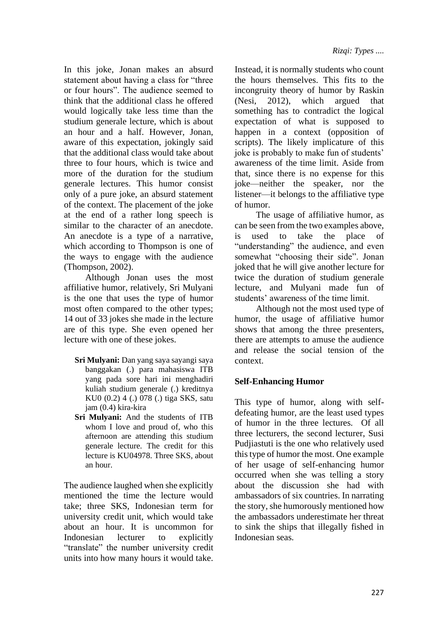In this joke, Jonan makes an absurd statement about having a class for "three or four hours". The audience seemed to think that the additional class he offered would logically take less time than the studium generale lecture, which is about an hour and a half. However, Jonan, aware of this expectation, jokingly said that the additional class would take about three to four hours, which is twice and more of the duration for the studium generale lectures. This humor consist only of a pure joke, an absurd statement of the context. The placement of the joke at the end of a rather long speech is similar to the character of an anecdote. An anecdote is a type of a narrative. which according to Thompson is one of the ways to engage with the audience (Thompson, 2002).

Although Jonan uses the most affiliative humor, relatively, Sri Mulyani is the one that uses the type of humor most often compared to the other types; 14 out of 33 jokes she made in the lecture are of this type. She even opened her lecture with one of these jokes.

- **Sri Mulyani:** Dan yang saya sayangi saya banggakan (.) para mahasiswa ITB yang pada sore hari ini menghadiri kuliah studium generale (.) kreditnya KU0 (0.2) 4 (.) 078 (.) tiga SKS, satu jam (0.4) kira-kira
- **Sri Mulyani:** And the students of ITB whom I love and proud of, who this afternoon are attending this studium generale lecture. The credit for this lecture is KU04978. Three SKS, about an hour.

The audience laughed when she explicitly mentioned the time the lecture would take; three SKS, Indonesian term for university credit unit, which would take about an hour. It is uncommon for Indonesian lecturer to explicitly "translate" the number university credit units into how many hours it would take. Instead, it is normally students who count the hours themselves. This fits to the incongruity theory of humor by Raskin (Nesi, 2012), which argued that something has to contradict the logical expectation of what is supposed to happen in a context (opposition of scripts). The likely implicature of this joke is probably to make fun of students' awareness of the time limit. Aside from that, since there is no expense for this joke—neither the speaker, nor the listener—it belongs to the affiliative type of humor.

The usage of affiliative humor, as can be seen from the two examples above, is used to take the place of "understanding" the audience, and even somewhat "choosing their side". Jonan joked that he will give another lecture for twice the duration of studium generale lecture, and Mulyani made fun of students' awareness of the time limit.

Although not the most used type of humor, the usage of affiliative humor shows that among the three presenters, there are attempts to amuse the audience and release the social tension of the context.

## **Self-Enhancing Humor**

This type of humor, along with selfdefeating humor, are the least used types of humor in the three lectures. Of all three lecturers, the second lecturer, Susi Pudjiastuti is the one who relatively used this type of humor the most. One example of her usage of self-enhancing humor occurred when she was telling a story about the discussion she had with ambassadors of six countries. In narrating the story, she humorously mentioned how the ambassadors underestimate her threat to sink the ships that illegally fished in Indonesian seas.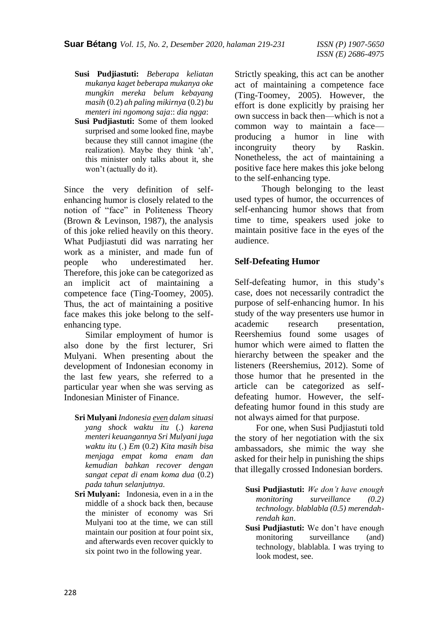- **Susi Pudjiastuti:** *Beberapa keliatan mukanya kaget beberapa mukanya oke mungkin mereka belum kebayang masih* (0.2) *ah paling mikirnya* (0.2) *bu menteri ini ngomong saja*:: *dia ngga*:
- **Susi Pudjiastuti:** Some of them looked surprised and some looked fine, maybe because they still cannot imagine (the realization). Maybe they think 'ah', this minister only talks about it, she won't (actually do it).

Since the very definition of selfenhancing humor is closely related to the notion of "face" in Politeness Theory (Brown & Levinson, 1987), the analysis of this joke relied heavily on this theory. What Pudjiastuti did was narrating her work as a minister, and made fun of people who underestimated her. Therefore, this joke can be categorized as an implicit act of maintaining a competence face (Ting-Toomey, 2005). Thus, the act of maintaining a positive face makes this joke belong to the selfenhancing type.

Similar employment of humor is also done by the first lecturer, Sri Mulyani. When presenting about the development of Indonesian economy in the last few years, she referred to a particular year when she was serving as Indonesian Minister of Finance.

- **Sri Mulyani** *Indonesia even dalam situasi yang shock waktu itu* (.) *karena menteri keuangannya Sri Mulyani juga waktu itu* (.) *Em* (0.2) *Kita masih bisa menjaga empat koma enam dan kemudian bahkan recover dengan sangat cepat di enam koma dua* (0.2) *pada tahun selanjutnya.*
- **Sri Mulyani:** Indonesia, even in a in the middle of a shock back then, because the minister of economy was Sri Mulyani too at the time, we can still maintain our position at four point six, and afterwards even recover quickly to six point two in the following year.

Strictly speaking, this act can be another act of maintaining a competence face (Ting-Toomey, 2005). However, the effort is done explicitly by praising her own success in back then—which is not a common way to maintain a face producing a humor in line with incongruity theory by Raskin. Nonetheless, the act of maintaining a positive face here makes this joke belong to the self-enhancing type.

Though belonging to the least used types of humor, the occurrences of self-enhancing humor shows that from time to time, speakers used joke to maintain positive face in the eyes of the audience.

### **Self-Defeating Humor**

Self-defeating humor, in this study's case, does not necessarily contradict the purpose of self-enhancing humor. In his study of the way presenters use humor in academic research presentation, Reershemius found some usages of humor which were aimed to flatten the hierarchy between the speaker and the listeners (Reershemius, 2012). Some of those humor that he presented in the article can be categorized as selfdefeating humor. However, the selfdefeating humor found in this study are not always aimed for that purpose.

For one, when Susi Pudjiastuti told the story of her negotiation with the six ambassadors, she mimic the way she asked for their help in punishing the ships that illegally crossed Indonesian borders.

- **Susi Pudjiastuti:** *We don't have enough monitoring surveillance (0.2) technology. blablabla (0.5) merendahrendah kan*.
- **Susi Pudjiastuti:** We don't have enough monitoring surveillance (and) technology, blablabla. I was trying to look modest, see.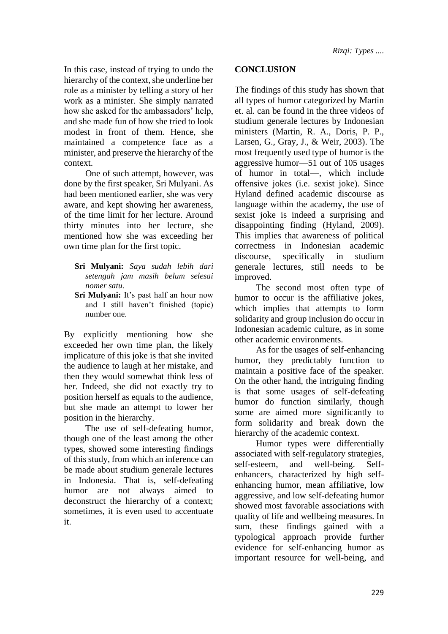In this case, instead of trying to undo the hierarchy of the context, she underline her role as a minister by telling a story of her work as a minister. She simply narrated how she asked for the ambassadors' help, and she made fun of how she tried to look modest in front of them. Hence, she maintained a competence face as a minister, and preserve the hierarchy of the context.

One of such attempt, however, was done by the first speaker, Sri Mulyani. As had been mentioned earlier, she was very aware, and kept showing her awareness, of the time limit for her lecture. Around thirty minutes into her lecture, she mentioned how she was exceeding her own time plan for the first topic.

- **Sri Mulyani:** *Saya sudah lebih dari setengah jam masih belum selesai nomer satu.*
- **Sri Mulyani:** It's past half an hour now and I still haven't finished (topic) number one.

By explicitly mentioning how she exceeded her own time plan, the likely implicature of this joke is that she invited the audience to laugh at her mistake, and then they would somewhat think less of her. Indeed, she did not exactly try to position herself as equals to the audience, but she made an attempt to lower her position in the hierarchy.

The use of self-defeating humor, though one of the least among the other types, showed some interesting findings of this study, from which an inference can be made about studium generale lectures in Indonesia. That is, self-defeating humor are not always aimed to deconstruct the hierarchy of a context; sometimes, it is even used to accentuate it.

#### **CONCLUSION**

The findings of this study has shown that all types of humor categorized by Martin et. al. can be found in the three videos of studium generale lectures by Indonesian ministers (Martin, R. A., Doris, P. P., Larsen, G., Gray, J., & Weir, 2003). The most frequently used type of humor is the aggressive humor—51 out of 105 usages of humor in total—, which include offensive jokes (i.e. sexist joke). Since Hyland defined academic discourse as language within the academy, the use of sexist joke is indeed a surprising and disappointing finding (Hyland, 2009). This implies that awareness of political correctness in Indonesian academic discourse, specifically in studium generale lectures, still needs to be improved.

The second most often type of humor to occur is the affiliative jokes, which implies that attempts to form solidarity and group inclusion do occur in Indonesian academic culture, as in some other academic environments.

As for the usages of self-enhancing humor, they predictably function to maintain a positive face of the speaker. On the other hand, the intriguing finding is that some usages of self-defeating humor do function similarly, though some are aimed more significantly to form solidarity and break down the hierarchy of the academic context.

Humor types were differentially associated with self-regulatory strategies, self-esteem, and well-being. Selfenhancers, characterized by high selfenhancing humor, mean affiliative, low aggressive, and low self-defeating humor showed most favorable associations with quality of life and wellbeing measures. In sum, these findings gained with a typological approach provide further evidence for self-enhancing humor as important resource for well-being, and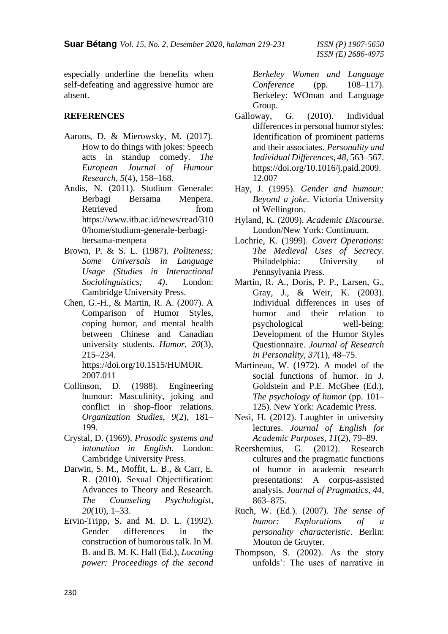especially underline the benefits when self-defeating and aggressive humor are absent.

### **REFERENCES**

- Aarons, D. & Mierowsky, M. (2017). How to do things with jokes: Speech acts in standup comedy. *The European Journal of Humour Research*, *5*(4), 158–168.
- Andis, N. (2011). Studium Generale: Berbagi Bersama Menpera. Retrieved from https://www.itb.ac.id/news/read/310 0/home/studium-generale-berbagibersama-menpera
- Brown, P. & S. L. (1987). *Politeness; Some Universals in Language Usage (Studies in Interactional Sociolinguistics; 4)*. London: Cambridge University Press.
- Chen, G.-H., & Martin, R. A. (2007). A Comparison of Humor Styles, coping humor, and mental health between Chinese and Canadian university students. *Humor*, *20*(3), 215–234. https://doi.org/10.1515/HUMOR.

2007.011

- Collinson, D. (1988). Engineering humour: Masculinity, joking and conflict in shop-floor relations. *Organization Studies*, *9*(2), 181– 199.
- Crystal, D. (1969). *Prosodic systems and intonation in English.* London: Cambridge University Press.
- Darwin, S. M., Moffit, L. B., & Carr, E. R. (2010). Sexual Objectification: Advances to Theory and Research. *The Counseling Psychologist*, *20*(10), 1–33.
- Ervin-Tripp, S. and M. D. L. (1992). Gender differences in the construction of humorous talk. In M. B. and B. M. K. Hall (Ed.), *Locating power: Proceedings of the second*

*Berkeley Women and Language Conference* (pp. 108–117). Berkeley: WOman and Language Group.

- Galloway, G. (2010). Individual differences in personal humor styles: Identification of prominent patterns and their associates. *Personality and Individual Differences*, *48*, 563–567. https://doi.org/10.1016/j.paid.2009. 12.007
- Hay, J. (1995). *Gender and humour: Beyond a joke*. Victoria University of Wellington.
- Hyland, K. (2009). *Academic Discourse*. London/New York: Continuum.
- Lochrie, K. (1999). *Covert Operations: The Medieval Uses of Secrecy*. Philadelphia: University of Pennsylvania Press.
- Martin, R. A., Doris, P. P., Larsen, G., Gray, J., & Weir, K. (2003). Individual differences in uses of humor and their relation to psychological well-being: Development of the Humor Styles Questionnaire. *Journal of Research in Personality*, *37*(1), 48–75.
- Martineau, W. (1972). A model of the social functions of humor. In J. Goldstein and P.E. McGhee (Ed.), *The psychology of humor* (pp. 101– 125). New York: Academic Press.
- Nesi, H. (2012). Laughter in university lectures. *Journal of English for Academic Purposes*, *11*(2), 79–89.
- Reershemius, G. (2012). Research cultures and the pragmatic functions of humor in academic research presentations: A corpus-assisted analysis. *Journal of Pragmatics*, *44*, 863–875.
- Ruch, W. (Ed.). (2007). *The sense of humor: Explorations of a personality characteristic*. Berlin: Mouton de Gruyter.
- Thompson, S. (2002). As the story unfolds': The uses of narrative in